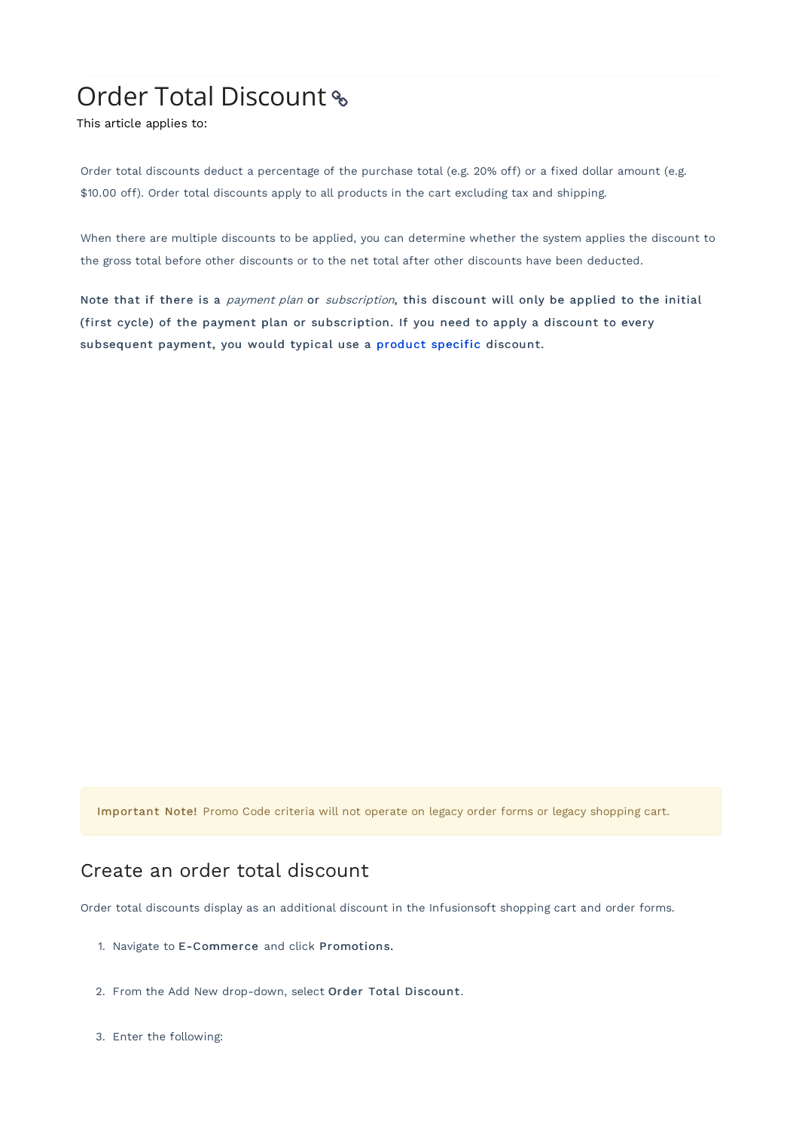## Order Total Discount

This article applies to:

Order total discounts deduct a percentage of the purchase total (e.g. 20% off) or a fixed dollar amount (e.g. \$10.00 off). Order total discounts apply to all products in the cart excluding tax and shipping.

When there are multiple discounts to be applied, you can determine whether the system applies the discount to the gross total before other discounts or to the net total after other discounts have been deducted.

Note that if there is a payment plan or subscription, this discount will only be applied to the initial (first cycle) of the payment plan or subscription. If you need to apply a discount to every subsequent payment, you would typical use a product specific discount.

Important Note! Promo Code criteria will not operate on legacy order forms or legacy shopping cart.

## Create an order total discount

Order total discounts display as an additional discount in the Infusionsoft shopping cart and order forms.

- 1. Navigate to E-Commerce and click Promotions.
- 2. From the Add New drop-down, select Order Total Discount.
- 3. Enter the following: